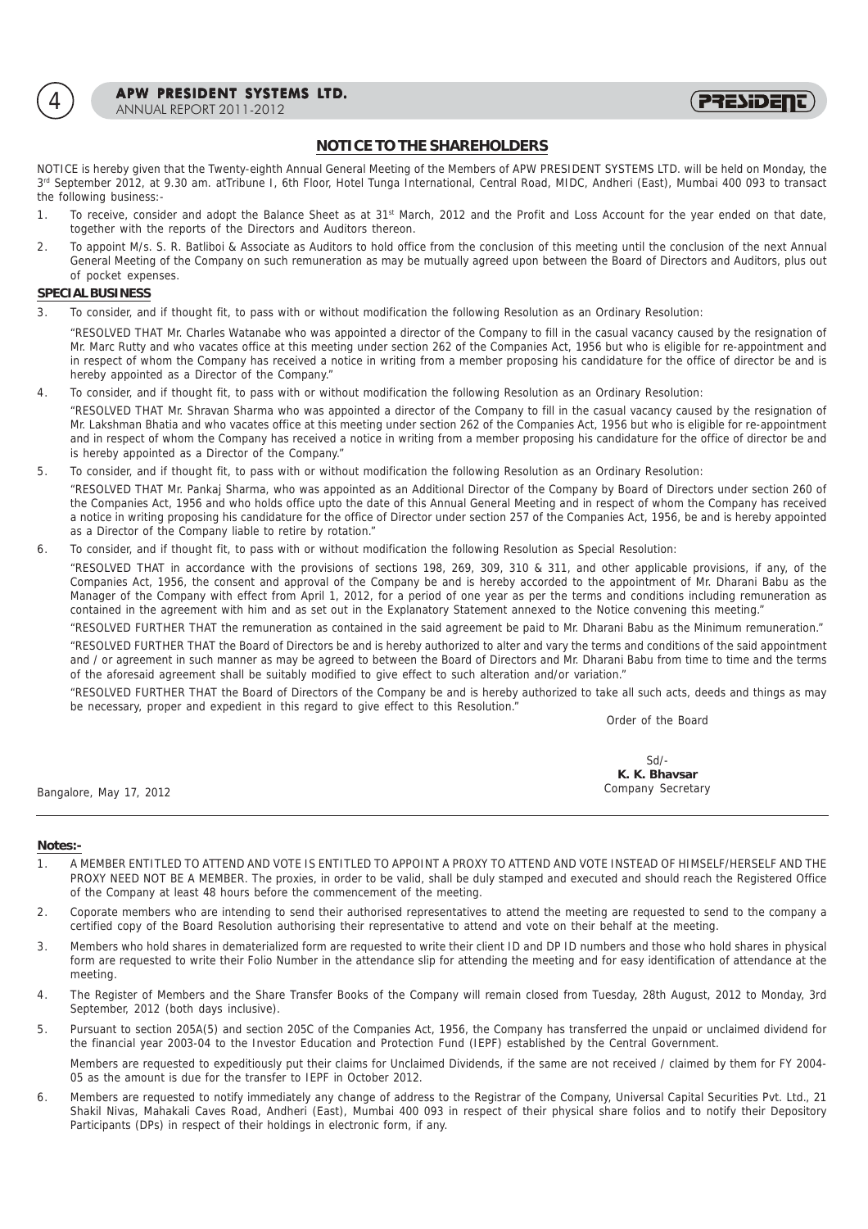

APW PRESIDENT SYSTEMS LTD.<br>ANNUAL REPORT 2011-2012



# **NOTICE TO THE SHAREHOLDERS**

NOTICE is hereby given that the Twenty-eighth Annual General Meeting of the Members of APW PRESIDENT SYSTEMS LTD. will be held on Monday, the 3rd September 2012, at 9.30 am. atTribune I, 6th Floor, Hotel Tunga International, Central Road, MIDC, Andheri (East), Mumbai 400 093 to transact the following business:-

- 1. To receive, consider and adopt the Balance Sheet as at 31<sup>st</sup> March, 2012 and the Profit and Loss Account for the year ended on that date, together with the reports of the Directors and Auditors thereon.
- 2. To appoint M/s. S. R. Batliboi & Associate as Auditors to hold office from the conclusion of this meeting until the conclusion of the next Annual General Meeting of the Company on such remuneration as may be mutually agreed upon between the Board of Directors and Auditors, plus out of pocket expenses.

# **SPECIAL BUSINESS**

3. To consider, and if thought fit, to pass with or without modification the following Resolution as an Ordinary Resolution:

"RESOLVED THAT Mr. Charles Watanabe who was appointed a director of the Company to fill in the casual vacancy caused by the resignation of Mr. Marc Rutty and who vacates office at this meeting under section 262 of the Companies Act, 1956 but who is eligible for re-appointment and in respect of whom the Company has received a notice in writing from a member proposing his candidature for the office of director be and is hereby appointed as a Director of the Company."

4. To consider, and if thought fit, to pass with or without modification the following Resolution as an Ordinary Resolution: "RESOLVED THAT Mr. Shravan Sharma who was appointed a director of the Company to fill in the casual vacancy caused by the resignation of

Mr. Lakshman Bhatia and who vacates office at this meeting under section 262 of the Companies Act, 1956 but who is eligible for re-appointment and in respect of whom the Company has received a notice in writing from a member proposing his candidature for the office of director be and is hereby appointed as a Director of the Company."

5. To consider, and if thought fit, to pass with or without modification the following Resolution as an Ordinary Resolution:

"RESOLVED THAT Mr. Pankaj Sharma, who was appointed as an Additional Director of the Company by Board of Directors under section 260 of the Companies Act, 1956 and who holds office upto the date of this Annual General Meeting and in respect of whom the Company has received a notice in writing proposing his candidature for the office of Director under section 257 of the Companies Act, 1956, be and is hereby appointed as a Director of the Company liable to retire by rotation."

6. To consider, and if thought fit, to pass with or without modification the following Resolution as Special Resolution:

"RESOLVED THAT in accordance with the provisions of sections 198, 269, 309, 310 & 311, and other applicable provisions, if any, of the Companies Act, 1956, the consent and approval of the Company be and is hereby accorded to the appointment of Mr. Dharani Babu as the Manager of the Company with effect from April 1, 2012, for a period of one year as per the terms and conditions including remuneration as contained in the agreement with him and as set out in the Explanatory Statement annexed to the Notice convening this meeting."

"RESOLVED FURTHER THAT the remuneration as contained in the said agreement be paid to Mr. Dharani Babu as the Minimum remuneration." "RESOLVED FURTHER THAT the Board of Directors be and is hereby authorized to alter and vary the terms and conditions of the said appointment and / or agreement in such manner as may be agreed to between the Board of Directors and Mr. Dharani Babu from time to time and the terms of the aforesaid agreement shall be suitably modified to give effect to such alteration and/or variation."

"RESOLVED FURTHER THAT the Board of Directors of the Company be and is hereby authorized to take all such acts, deeds and things as may be necessary, proper and expedient in this regard to give effect to this Resolution."

Order of the Board

|                         | Sd                |
|-------------------------|-------------------|
|                         | K. K. Bhavsar     |
| Bangalore, May 17, 2012 | Company Secretary |

## **Notes:-**

- 1. A MEMBER ENTITLED TO ATTEND AND VOTE IS ENTITLED TO APPOINT A PROXY TO ATTEND AND VOTE INSTEAD OF HIMSELF/HERSELF AND THE PROXY NEED NOT BE A MEMBER. The proxies, in order to be valid, shall be duly stamped and executed and should reach the Registered Office of the Company at least 48 hours before the commencement of the meeting.
- 2. Coporate members who are intending to send their authorised representatives to attend the meeting are requested to send to the company a certified copy of the Board Resolution authorising their representative to attend and vote on their behalf at the meeting.
- 3. Members who hold shares in dematerialized form are requested to write their client ID and DP ID numbers and those who hold shares in physical form are requested to write their Folio Number in the attendance slip for attending the meeting and for easy identification of attendance at the meeting.
- 4. The Register of Members and the Share Transfer Books of the Company will remain closed from Tuesday, 28th August, 2012 to Monday, 3rd September, 2012 (both days inclusive).
- 5. Pursuant to section 205A(5) and section 205C of the Companies Act, 1956, the Company has transferred the unpaid or unclaimed dividend for the financial year 2003-04 to the Investor Education and Protection Fund (IEPF) established by the Central Government.

Members are requested to expeditiously put their claims for Unclaimed Dividends, if the same are not received / claimed by them for FY 2004- 05 as the amount is due for the transfer to IEPF in October 2012.

6. Members are requested to notify immediately any change of address to the Registrar of the Company, Universal Capital Securities Pvt. Ltd., 21 Shakil Nivas, Mahakali Caves Road, Andheri (East), Mumbai 400 093 in respect of their physical share folios and to notify their Depository Participants (DPs) in respect of their holdings in electronic form, if any.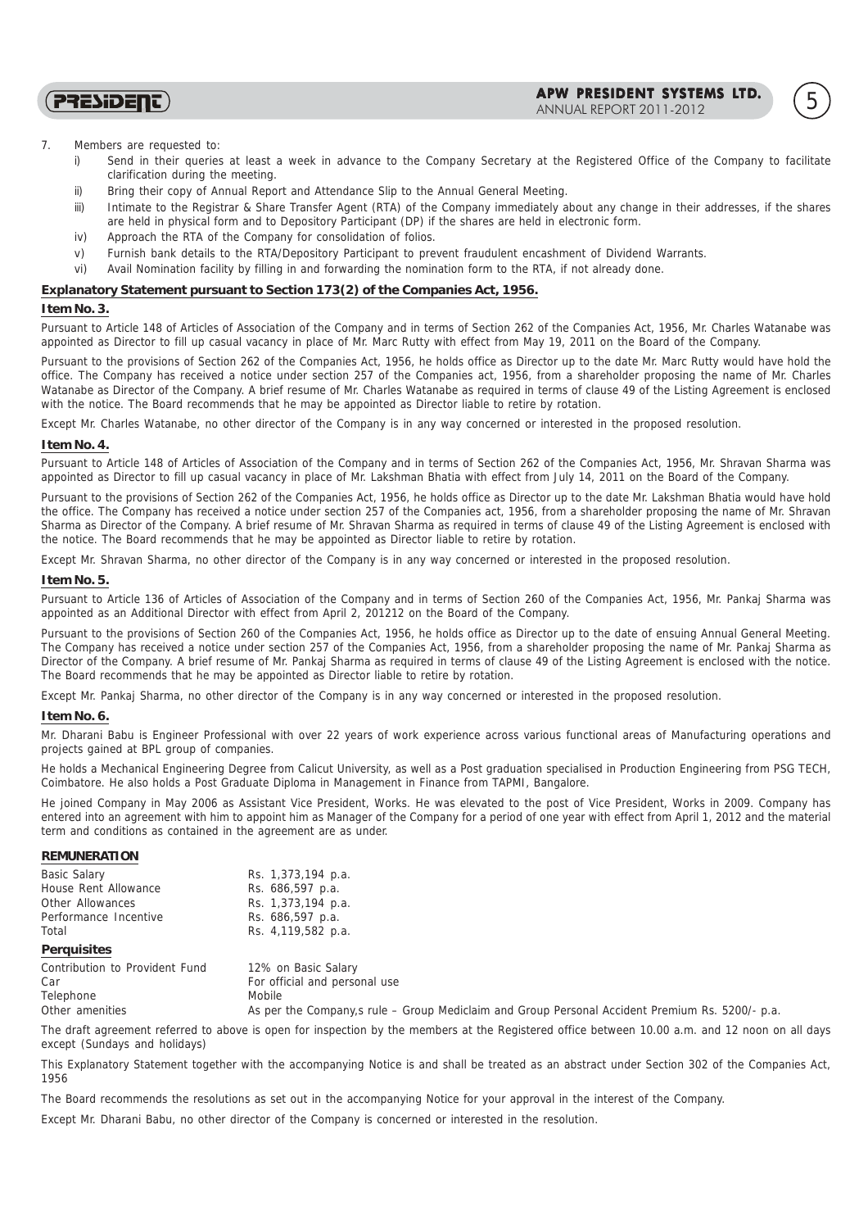APW PRESIDENT SYSTEMS LTD. ANNUAL REPORT 2011-2012 5

7. Members are requested to:

**PRESIDENT** 

- i) Send in their queries at least a week in advance to the Company Secretary at the Registered Office of the Company to facilitate clarification during the meeting.
- ii) Bring their copy of Annual Report and Attendance Slip to the Annual General Meeting.
- iii) Intimate to the Registrar & Share Transfer Agent (RTA) of the Company immediately about any change in their addresses, if the shares are held in physical form and to Depository Participant (DP) if the shares are held in electronic form.
- iv) Approach the RTA of the Company for consolidation of folios.
- v) Furnish bank details to the RTA/Depository Participant to prevent fraudulent encashment of Dividend Warrants.
- vi) Avail Nomination facility by filling in and forwarding the nomination form to the RTA, if not already done.

## **Explanatory Statement pursuant to Section 173(2) of the Companies Act, 1956.**

## **Item No. 3.**

Pursuant to Article 148 of Articles of Association of the Company and in terms of Section 262 of the Companies Act, 1956, Mr. Charles Watanabe was appointed as Director to fill up casual vacancy in place of Mr. Marc Rutty with effect from May 19, 2011 on the Board of the Company.

Pursuant to the provisions of Section 262 of the Companies Act, 1956, he holds office as Director up to the date Mr. Marc Rutty would have hold the office. The Company has received a notice under section 257 of the Companies act, 1956, from a shareholder proposing the name of Mr. Charles Watanabe as Director of the Company. A brief resume of Mr. Charles Watanabe as required in terms of clause 49 of the Listing Agreement is enclosed with the notice. The Board recommends that he may be appointed as Director liable to retire by rotation.

Except Mr. Charles Watanabe, no other director of the Company is in any way concerned or interested in the proposed resolution.

#### **Item No. 4.**

Pursuant to Article 148 of Articles of Association of the Company and in terms of Section 262 of the Companies Act, 1956, Mr. Shravan Sharma was appointed as Director to fill up casual vacancy in place of Mr. Lakshman Bhatia with effect from July 14, 2011 on the Board of the Company.

Pursuant to the provisions of Section 262 of the Companies Act, 1956, he holds office as Director up to the date Mr. Lakshman Bhatia would have hold the office. The Company has received a notice under section 257 of the Companies act, 1956, from a shareholder proposing the name of Mr. Shravan Sharma as Director of the Company. A brief resume of Mr. Shravan Sharma as required in terms of clause 49 of the Listing Agreement is enclosed with the notice. The Board recommends that he may be appointed as Director liable to retire by rotation.

Except Mr. Shravan Sharma, no other director of the Company is in any way concerned or interested in the proposed resolution.

### **Item No. 5.**

Pursuant to Article 136 of Articles of Association of the Company and in terms of Section 260 of the Companies Act, 1956, Mr. Pankaj Sharma was appointed as an Additional Director with effect from April 2, 201212 on the Board of the Company.

Pursuant to the provisions of Section 260 of the Companies Act, 1956, he holds office as Director up to the date of ensuing Annual General Meeting. The Company has received a notice under section 257 of the Companies Act, 1956, from a shareholder proposing the name of Mr. Pankaj Sharma as Director of the Company. A brief resume of Mr. Pankaj Sharma as required in terms of clause 49 of the Listing Agreement is enclosed with the notice. The Board recommends that he may be appointed as Director liable to retire by rotation.

Except Mr. Pankaj Sharma, no other director of the Company is in any way concerned or interested in the proposed resolution.

## **Item No. 6.**

Mr. Dharani Babu is Engineer Professional with over 22 years of work experience across various functional areas of Manufacturing operations and projects gained at BPL group of companies.

He holds a Mechanical Engineering Degree from Calicut University, as well as a Post graduation specialised in Production Engineering from PSG TECH, Coimbatore. He also holds a Post Graduate Diploma in Management in Finance from TAPMI, Bangalore.

He joined Company in May 2006 as Assistant Vice President, Works. He was elevated to the post of Vice President, Works in 2009. Company has entered into an agreement with him to appoint him as Manager of the Company for a period of one year with effect from April 1, 2012 and the material term and conditions as contained in the agreement are as under.

## **REMUNERATION**

| <b>Basic Salary</b>   | Rs. 1,373,194 p.a. |
|-----------------------|--------------------|
| House Rent Allowance  | Rs. 686,597 p.a.   |
| Other Allowances      | Rs. 1,373,194 p.a. |
| Performance Incentive | Rs. 686,597 p.a.   |
| Total                 | Rs. 4,119,582 p.a. |
| Perquisites           |                    |

|  |  | $\sim$<br>$\sim$ |
|--|--|------------------|
|  |  |                  |

| Contribution to Provident Fund | 12% on Basic Salary                                                                              |
|--------------------------------|--------------------------------------------------------------------------------------------------|
| Car                            | For official and personal use                                                                    |
| Telephone                      | Mobile                                                                                           |
| Other amenities                | As per the Company, s rule – Group Mediclaim and Group Personal Accident Premium Rs. 5200/- p.a. |

The draft agreement referred to above is open for inspection by the members at the Registered office between 10.00 a.m. and 12 noon on all days except (Sundays and holidays)

This Explanatory Statement together with the accompanying Notice is and shall be treated as an abstract under Section 302 of the Companies Act, 1956

The Board recommends the resolutions as set out in the accompanying Notice for your approval in the interest of the Company.

Except Mr. Dharani Babu, no other director of the Company is concerned or interested in the resolution.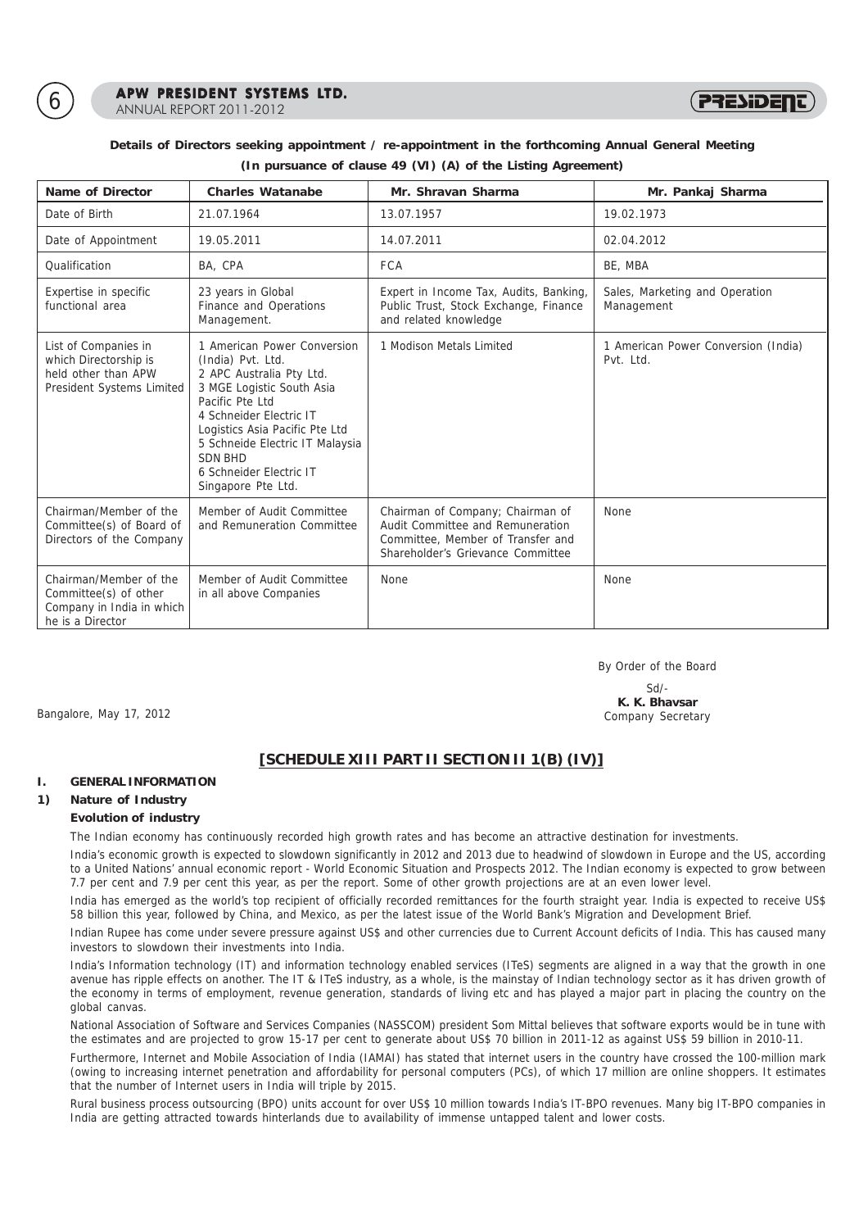

6 **APW PRESIDENT SYSTEMS LTD.**<br>ANNUAL REPORT 2011-2012



# **Details of Directors seeking appointment / re-appointment in the forthcoming Annual General Meeting (In pursuance of clause 49 (VI) (A) of the Listing Agreement)**

| Name of Director                                                                                  | Charles Watanabe                                                                                                                                                                                                                                                                                | Mr. Shravan Sharma                                                                                                                             | Mr. Pankaj Sharma                                |
|---------------------------------------------------------------------------------------------------|-------------------------------------------------------------------------------------------------------------------------------------------------------------------------------------------------------------------------------------------------------------------------------------------------|------------------------------------------------------------------------------------------------------------------------------------------------|--------------------------------------------------|
| Date of Birth                                                                                     | 21.07.1964                                                                                                                                                                                                                                                                                      | 13.07.1957                                                                                                                                     | 19.02.1973                                       |
| Date of Appointment                                                                               | 19.05.2011                                                                                                                                                                                                                                                                                      | 14.07.2011                                                                                                                                     | 02.04.2012                                       |
| Oualification                                                                                     | BA, CPA                                                                                                                                                                                                                                                                                         | <b>FCA</b>                                                                                                                                     | BE, MBA                                          |
| Expertise in specific<br>functional area                                                          | 23 years in Global<br>Finance and Operations<br>Management.                                                                                                                                                                                                                                     | Expert in Income Tax, Audits, Banking,<br>Public Trust, Stock Exchange, Finance<br>and related knowledge                                       | Sales, Marketing and Operation<br>Management     |
| List of Companies in<br>which Directorship is<br>held other than APW<br>President Systems Limited | 1 American Power Conversion<br>(India) Pvt. Ltd.<br>2 APC Australia Pty Ltd.<br>3 MGE Logistic South Asia<br>Pacific Pte Ltd<br>4 Schneider Electric IT<br>Logistics Asia Pacific Pte Ltd<br>5 Schneide Electric IT Malaysia<br><b>SDN BHD</b><br>6 Schneider Electric IT<br>Singapore Pte Ltd. | 1 Modison Metals Limited                                                                                                                       | 1 American Power Conversion (India)<br>Pvt. Ltd. |
| Chairman/Member of the<br>Committee(s) of Board of<br>Directors of the Company                    | Member of Audit Committee<br>and Remuneration Committee                                                                                                                                                                                                                                         | Chairman of Company; Chairman of<br>Audit Committee and Remuneration<br>Committee, Member of Transfer and<br>Shareholder's Grievance Committee | None                                             |
| Chairman/Member of the<br>Committee(s) of other<br>Company in India in which<br>he is a Director  | Member of Audit Committee<br>in all above Companies                                                                                                                                                                                                                                             | None                                                                                                                                           | <b>None</b>                                      |

By Order of the Board

#### $Sd/$ **K. K. Bhavsar** Bangalore, May 17, 2012 Company Secretary

**[SCHEDULE XIII PART II SECTION II 1(B) (IV)]**

# **I. GENERAL INFORMATION**

# **1) Nature of Industry**

# **Evolution of industry**

The Indian economy has continuously recorded high growth rates and has become an attractive destination for investments.

India's economic growth is expected to slowdown significantly in 2012 and 2013 due to headwind of slowdown in Europe and the US, according to a United Nations' annual economic report - World Economic Situation and Prospects 2012. The Indian economy is expected to grow between 7.7 per cent and 7.9 per cent this year, as per the report. Some of other growth projections are at an even lower level.

India has emerged as the world's top recipient of officially recorded remittances for the fourth straight year. India is expected to receive US\$ 58 billion this year, followed by China, and Mexico, as per the latest issue of the World Bank's Migration and Development Brief.

Indian Rupee has come under severe pressure against US\$ and other currencies due to Current Account deficits of India. This has caused many investors to slowdown their investments into India.

India's Information technology (IT) and information technology enabled services (ITeS) segments are aligned in a way that the growth in one avenue has ripple effects on another. The IT & ITeS industry, as a whole, is the mainstay of Indian technology sector as it has driven growth of the economy in terms of employment, revenue generation, standards of living etc and has played a major part in placing the country on the global canvas.

National Association of Software and Services Companies (NASSCOM) president Som Mittal believes that software exports would be in tune with the estimates and are projected to grow 15-17 per cent to generate about US\$ 70 billion in 2011-12 as against US\$ 59 billion in 2010-11.

Furthermore, Internet and Mobile Association of India (IAMAI) has stated that internet users in the country have crossed the 100-million mark (owing to increasing internet penetration and affordability for personal computers (PCs), of which 17 million are online shoppers. It estimates that the number of Internet users in India will triple by 2015.

Rural business process outsourcing (BPO) units account for over US\$ 10 million towards India's IT-BPO revenues. Many big IT-BPO companies in India are getting attracted towards hinterlands due to availability of immense untapped talent and lower costs.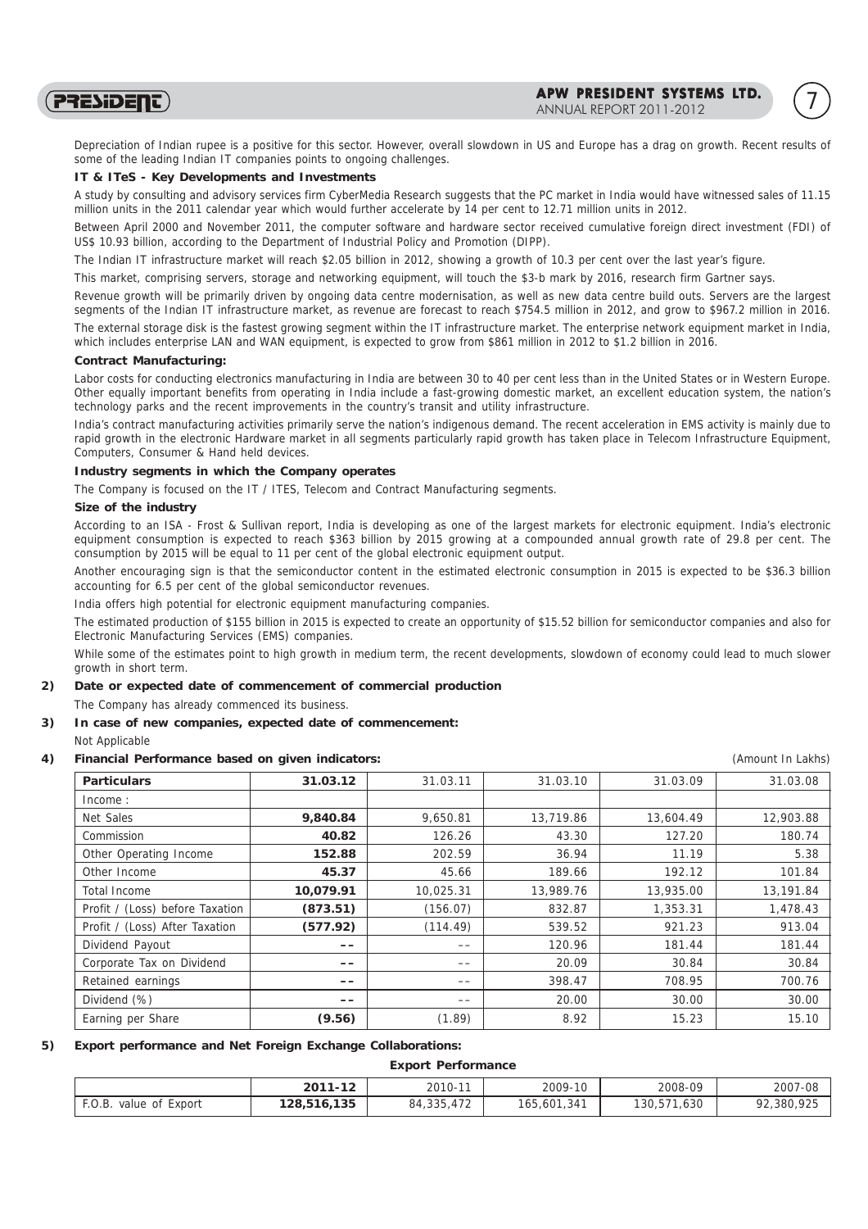PRESIDENT)

Depreciation of Indian rupee is a positive for this sector. However, overall slowdown in US and Europe has a drag on growth. Recent results of some of the leading Indian IT companies points to ongoing challenges.

## **IT & ITeS - Key Developments and Investments**

A study by consulting and advisory services firm CyberMedia Research suggests that the PC market in India would have witnessed sales of 11.15 million units in the 2011 calendar year which would further accelerate by 14 per cent to 12.71 million units in 2012.

Between April 2000 and November 2011, the computer software and hardware sector received cumulative foreign direct investment (FDI) of US\$ 10.93 billion, according to the Department of Industrial Policy and Promotion (DIPP).

The Indian IT infrastructure market will reach \$2.05 billion in 2012, showing a growth of 10.3 per cent over the last year's figure.

This market, comprising servers, storage and networking equipment, will touch the \$3-b mark by 2016, research firm Gartner says.

Revenue growth will be primarily driven by ongoing data centre modernisation, as well as new data centre build outs. Servers are the largest segments of the Indian IT infrastructure market, as revenue are forecast to reach \$754.5 million in 2012, and grow to \$967.2 million in 2016.

The external storage disk is the fastest growing segment within the IT infrastructure market. The enterprise network equipment market in India, which includes enterprise LAN and WAN equipment, is expected to grow from \$861 million in 2012 to \$1.2 billion in 2016.

# **Contract Manufacturing:**

Labor costs for conducting electronics manufacturing in India are between 30 to 40 per cent less than in the United States or in Western Europe. Other equally important benefits from operating in India include a fast-growing domestic market, an excellent education system, the nation's technology parks and the recent improvements in the country's transit and utility infrastructure.

India's contract manufacturing activities primarily serve the nation's indigenous demand. The recent acceleration in EMS activity is mainly due to rapid growth in the electronic Hardware market in all segments particularly rapid growth has taken place in Telecom Infrastructure Equipment, Computers, Consumer & Hand held devices.

# **Industry segments in which the Company operates**

The Company is focused on the IT / ITES, Telecom and Contract Manufacturing segments.

## **Size of the industry**

According to an ISA - Frost & Sullivan report, India is developing as one of the largest markets for electronic equipment. India's electronic equipment consumption is expected to reach \$363 billion by 2015 growing at a compounded annual growth rate of 29.8 per cent. The consumption by 2015 will be equal to 11 per cent of the global electronic equipment output.

Another encouraging sign is that the semiconductor content in the estimated electronic consumption in 2015 is expected to be \$36.3 billion accounting for 6.5 per cent of the global semiconductor revenues.

India offers high potential for electronic equipment manufacturing companies.

The estimated production of \$155 billion in 2015 is expected to create an opportunity of \$15.52 billion for semiconductor companies and also for Electronic Manufacturing Services (EMS) companies.

While some of the estimates point to high growth in medium term, the recent developments, slowdown of economy could lead to much slower growth in short term.

## **2) Date or expected date of commencement of commercial production**

The Company has already commenced its business.

## **3) In case of new companies, expected date of commencement:**

#### Not Applicable

**4) Financial Performance based on given indicators:** (Amount In Lakhs)

| <b>Particulars</b>              | 31.03.12  | 31.03.11  | 31.03.10  | 31.03.09  | 31.03.08  |
|---------------------------------|-----------|-----------|-----------|-----------|-----------|
| Income:                         |           |           |           |           |           |
| Net Sales                       | 9,840.84  | 9,650.81  | 13,719.86 | 13,604.49 | 12,903.88 |
| Commission                      | 40.82     | 126.26    | 43.30     | 127.20    | 180.74    |
| Other Operating Income          | 152.88    | 202.59    | 36.94     | 11.19     | 5.38      |
| Other Income                    | 45.37     | 45.66     | 189.66    | 192.12    | 101.84    |
| Total Income                    | 10,079.91 | 10,025.31 | 13,989.76 | 13,935.00 | 13,191.84 |
| Profit / (Loss) before Taxation | (873.51)  | (156.07)  | 832.87    | 1,353.31  | 1,478.43  |
| Profit / (Loss) After Taxation  | (577.92)  | (114.49)  | 539.52    | 921.23    | 913.04    |
| Dividend Payout                 | --        | --        | 120.96    | 181.44    | 181.44    |
| Corporate Tax on Dividend       | ——        | $- -$     | 20.09     | 30.84     | 30.84     |
| Retained earnings               | --        | $- -$     | 398.47    | 708.95    | 700.76    |
| Dividend (%)                    | --        | --        | 20.00     | 30.00     | 30.00     |
| Earning per Share               | (9.56)    | (1.89)    | 8.92      | 15.23     | 15.10     |
|                                 |           |           |           |           |           |

# **5) Export performance and Net Foreign Exchange Collaborations:**

**Export Performance**

|                           | 2011-12     | 2010-11      | 2009-10     | 2008-09          | 2007-08    |
|---------------------------|-------------|--------------|-------------|------------------|------------|
| F.O.B.<br>value of Export | 128,516,135 | 84, 335, 472 | 165,601,341 | 1.630<br>130,571 | 92,380,925 |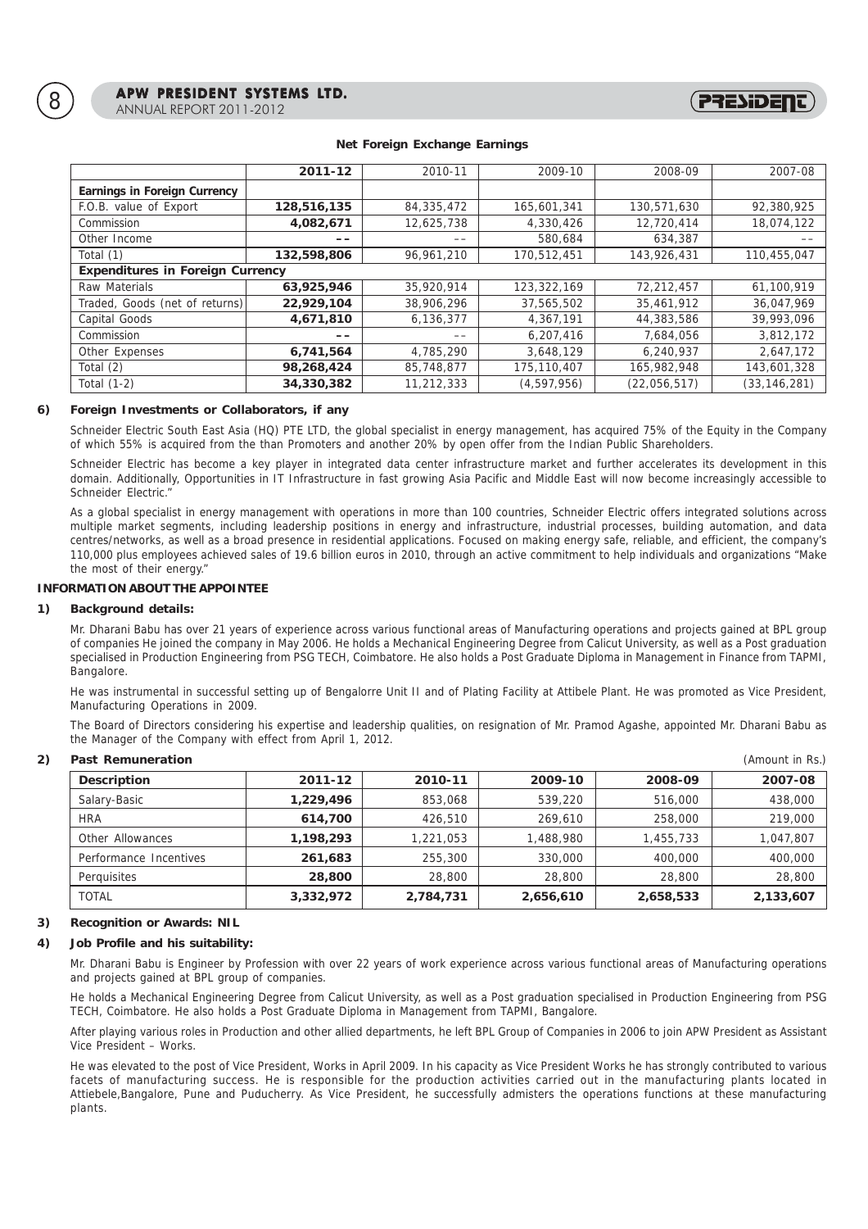|                                         | 2011-12     | 2010-11    | 2009-10     | 2008-09      | 2007-08        |
|-----------------------------------------|-------------|------------|-------------|--------------|----------------|
| Earnings in Foreign Currency            |             |            |             |              |                |
| F.O.B. value of Export                  | 128,516,135 | 84,335,472 | 165,601,341 | 130,571,630  | 92,380,925     |
| Commission                              | 4,082,671   | 12,625,738 | 4,330,426   | 12,720,414   | 18,074,122     |
| Other Income                            | $- -$       | --         | 580,684     | 634,387      |                |
| Total (1)                               | 132,598,806 | 96,961,210 | 170,512,451 | 143,926,431  | 110.455.047    |
| <b>Expenditures in Foreign Currency</b> |             |            |             |              |                |
| Raw Materials                           | 63,925,946  | 35,920,914 | 123,322,169 | 72,212,457   | 61,100,919     |
| Traded, Goods (net of returns)          | 22,929,104  | 38,906,296 | 37,565,502  | 35,461,912   | 36,047,969     |
| Capital Goods                           | 4,671,810   | 6,136,377  | 4,367,191   | 44,383,586   | 39,993,096     |
| Commission                              | ——          | --         | 6,207,416   | 7,684,056    | 3,812,172      |
| Other Expenses                          | 6,741,564   | 4,785,290  | 3,648,129   | 6,240,937    | 2,647,172      |
| Total (2)                               | 98,268,424  | 85,748,877 | 175,110,407 | 165,982,948  | 143,601,328    |
| Total $(1-2)$                           | 34,330,382  | 11,212,333 | (4,597,956) | (22,056,517) | (33, 146, 281) |

## **Net Foreign Exchange Earnings**

(PRESIDE

# **6) Foreign Investments or Collaborators, if any**

Schneider Electric South East Asia (HQ) PTE LTD, the global specialist in energy management, has acquired 75% of the Equity in the Company of which 55% is acquired from the than Promoters and another 20% by open offer from the Indian Public Shareholders.

Schneider Electric has become a key player in integrated data center infrastructure market and further accelerates its development in this domain. Additionally, Opportunities in IT Infrastructure in fast growing Asia Pacific and Middle East will now become increasingly accessible to Schneider Electric

As a global specialist in energy management with operations in more than 100 countries, Schneider Electric offers integrated solutions across multiple market segments, including leadership positions in energy and infrastructure, industrial processes, building automation, and data centres/networks, as well as a broad presence in residential applications. Focused on making energy safe, reliable, and efficient, the company's 110,000 plus employees achieved sales of 19.6 billion euros in 2010, through an active commitment to help individuals and organizations "Make the most of their energy."

# **INFORMATION ABOUT THE APPOINTEE**

### **1) Background details:**

Mr. Dharani Babu has over 21 years of experience across various functional areas of Manufacturing operations and projects gained at BPL group of companies He joined the company in May 2006. He holds a Mechanical Engineering Degree from Calicut University, as well as a Post graduation specialised in Production Engineering from PSG TECH, Coimbatore. He also holds a Post Graduate Diploma in Management in Finance from TAPMI, Bangalore.

He was instrumental in successful setting up of Bengalorre Unit II and of Plating Facility at Attibele Plant. He was promoted as Vice President, Manufacturing Operations in 2009.

The Board of Directors considering his expertise and leadership qualities, on resignation of Mr. Pramod Agashe, appointed Mr. Dharani Babu as the Manager of the Company with effect from April 1, 2012.

| Past Remuneration      |           |           |           |           | (Amount in Rs.) |
|------------------------|-----------|-----------|-----------|-----------|-----------------|
| Description            | 2011-12   | 2010-11   | 2009-10   | 2008-09   | 2007-08         |
| Salary-Basic           | 1,229,496 | 853,068   | 539,220   | 516,000   | 438,000         |
| <b>HRA</b>             | 614,700   | 426,510   | 269,610   | 258,000   | 219,000         |
| Other Allowances       | 1,198,293 | 1,221,053 | 1,488,980 | 1,455,733 | 1,047,807       |
| Performance Incentives | 261,683   | 255,300   | 330,000   | 400,000   | 400,000         |
| Perquisites            | 28,800    | 28,800    | 28,800    | 28,800    | 28,800          |
| <b>TOTAL</b>           | 3,332,972 | 2,784,731 | 2,656,610 | 2,658,533 | 2,133,607       |

## **3) Recognition or Awards: NIL**

# **4) Job Profile and his suitability:**

Mr. Dharani Babu is Engineer by Profession with over 22 years of work experience across various functional areas of Manufacturing operations and projects gained at BPL group of companies.

He holds a Mechanical Engineering Degree from Calicut University, as well as a Post graduation specialised in Production Engineering from PSG TECH, Coimbatore. He also holds a Post Graduate Diploma in Management from TAPMI, Bangalore.

After playing various roles in Production and other allied departments, he left BPL Group of Companies in 2006 to join APW President as Assistant Vice President – Works.

He was elevated to the post of Vice President, Works in April 2009. In his capacity as Vice President Works he has strongly contributed to various facets of manufacturing success. He is responsible for the production activities carried out in the manufacturing plants located in Attiebele,Bangalore, Pune and Puducherry. As Vice President, he successfully admisters the operations functions at these manufacturing plants.